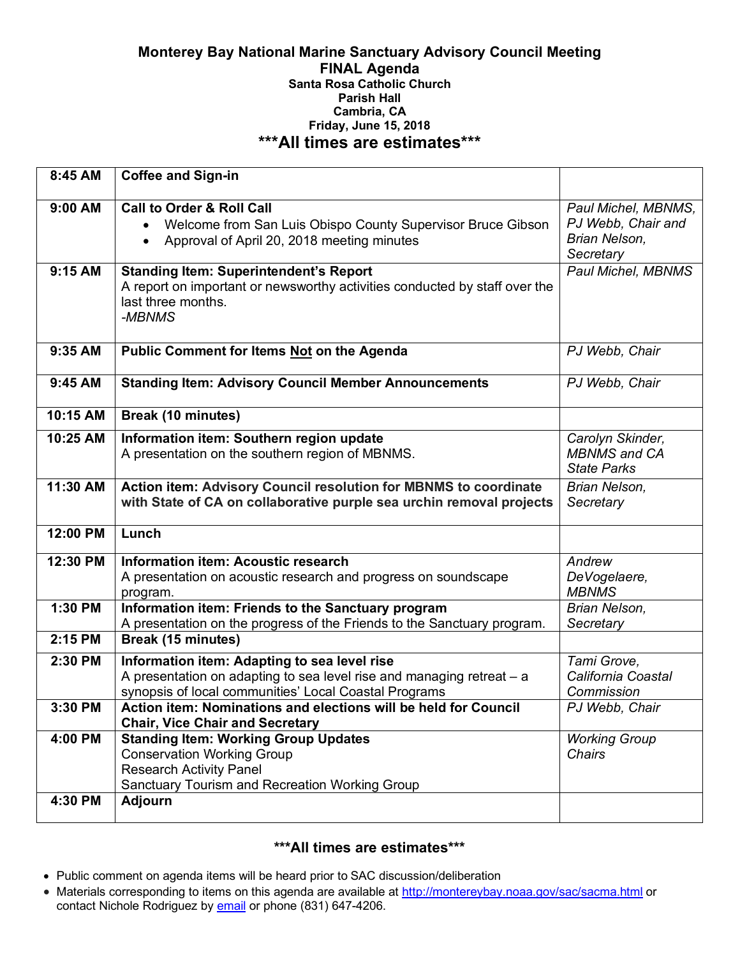#### **Monterey Bay National Marine Sanctuary Advisory Council Meeting FINAL Agenda Santa Rosa Catholic Church Parish Hall Cambria, CA Friday, June 15, 2018 \*\*\*All times are estimates\*\*\***

| 8:45 AM   | <b>Coffee and Sign-in</b>                                                                                                     |                                   |
|-----------|-------------------------------------------------------------------------------------------------------------------------------|-----------------------------------|
| $9:00$ AM | <b>Call to Order &amp; Roll Call</b>                                                                                          | Paul Michel, MBNMS,               |
|           | Welcome from San Luis Obispo County Supervisor Bruce Gibson                                                                   | PJ Webb, Chair and                |
|           | Approval of April 20, 2018 meeting minutes                                                                                    | Brian Nelson,                     |
|           |                                                                                                                               | Secretary                         |
| 9:15 AM   | <b>Standing Item: Superintendent's Report</b>                                                                                 | Paul Michel, MBNMS                |
|           | A report on important or newsworthy activities conducted by staff over the<br>last three months.                              |                                   |
|           | -MBNMS                                                                                                                        |                                   |
|           |                                                                                                                               |                                   |
| 9:35 AM   | Public Comment for Items Not on the Agenda                                                                                    | PJ Webb, Chair                    |
|           |                                                                                                                               |                                   |
| 9:45 AM   | <b>Standing Item: Advisory Council Member Announcements</b>                                                                   | PJ Webb, Chair                    |
|           |                                                                                                                               |                                   |
| 10:15 AM  | <b>Break (10 minutes)</b>                                                                                                     |                                   |
| 10:25 AM  | Information item: Southern region update                                                                                      | Carolyn Skinder,                  |
|           | A presentation on the southern region of MBNMS.                                                                               | <b>MBNMS</b> and CA               |
|           |                                                                                                                               | <b>State Parks</b>                |
| 11:30 AM  | Action item: Advisory Council resolution for MBNMS to coordinate                                                              | Brian Nelson,                     |
|           | with State of CA on collaborative purple sea urchin removal projects                                                          | Secretary                         |
| 12:00 PM  | Lunch                                                                                                                         |                                   |
|           |                                                                                                                               |                                   |
| 12:30 PM  | <b>Information item: Acoustic research</b>                                                                                    | Andrew                            |
|           | A presentation on acoustic research and progress on soundscape                                                                | DeVogelaere,                      |
|           | program.                                                                                                                      | <b>MBNMS</b>                      |
| 1:30 PM   | Information item: Friends to the Sanctuary program<br>A presentation on the progress of the Friends to the Sanctuary program. | Brian Nelson,<br>Secretary        |
| 2:15 PM   | <b>Break (15 minutes)</b>                                                                                                     |                                   |
|           |                                                                                                                               |                                   |
| 2:30 PM   | Information item: Adapting to sea level rise<br>A presentation on adapting to sea level rise and managing retreat - a         | Tami Grove,<br>California Coastal |
|           | synopsis of local communities' Local Coastal Programs                                                                         | Commission                        |
| 3:30 PM   | Action item: Nominations and elections will be held for Council                                                               | PJ Webb, Chair                    |
|           | <b>Chair, Vice Chair and Secretary</b>                                                                                        |                                   |
| 4:00 PM   | <b>Standing Item: Working Group Updates</b>                                                                                   | <b>Working Group</b>              |
|           | <b>Conservation Working Group</b>                                                                                             | Chairs                            |
|           | <b>Research Activity Panel</b>                                                                                                |                                   |
|           | Sanctuary Tourism and Recreation Working Group                                                                                |                                   |
| 4:30 PM   | <b>Adjourn</b>                                                                                                                |                                   |
|           |                                                                                                                               |                                   |

# **\*\*\*All times are estimates\*\*\***

- Public comment on agenda items will be heard prior to SAC discussion/deliberation
- Materials corresponding to items on this agenda are available at http://montereybay.noaa.gov/sac/sacma.html or contact Nichole Rodriguez by email or phone (831) 647-4206.